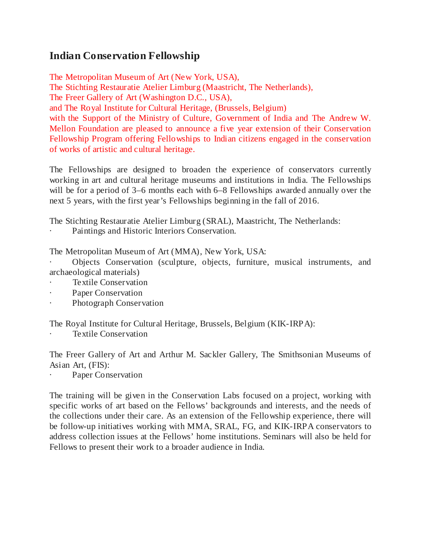## **Indian Conservation Fellowship**

The Metropolitan Museum of Art (New York, USA), The Stichting Restauratie Atelier Limburg (Maastricht, The Netherlands), The Freer Gallery of Art (Washington D.C., USA), and The Royal Institute for Cultural Heritage, (Brussels, Belgium) with the Support of the Ministry of Culture, Government of India and The Andrew W. Mellon Foundation are pleased to announce a five year extension of their Conservation Fellowship Program offering Fellowships to Indian citizens engaged in the conservation of works of artistic and cultural heritage.

The Fellowships are designed to broaden the experience of conservators currently working in art and cultural heritage museums and institutions in India. The Fellowships will be for a period of 3–6 months each with 6–8 Fellowships awarded annually over the next 5 years, with the first year's Fellowships beginning in the fall of 2016.

The Stichting Restauratie Atelier Limburg (SRAL), Maastricht, The Netherlands:

Paintings and Historic Interiors Conservation.

The Metropolitan Museum of Art (MMA), New York, USA:

· Objects Conservation (sculpture, objects, furniture, musical instruments, and archaeological materials)

- Textile Conservation
- Paper Conservation
- Photograph Conservation

The Royal Institute for Cultural Heritage, Brussels, Belgium (KIK-IRPA):

Textile Conservation

The Freer Gallery of Art and Arthur M. Sackler Gallery, The Smithsonian Museums of Asian Art, (FIS):

Paper Conservation

The training will be given in the Conservation Labs focused on a project, working with specific works of art based on the Fellows' backgrounds and interests, and the needs of the collections under their care. As an extension of the Fellowship experience, there will be follow-up initiatives working with MMA, SRAL, FG, and KIK-IRPA conservators to address collection issues at the Fellows' home institutions. Seminars will also be held for Fellows to present their work to a broader audience in India.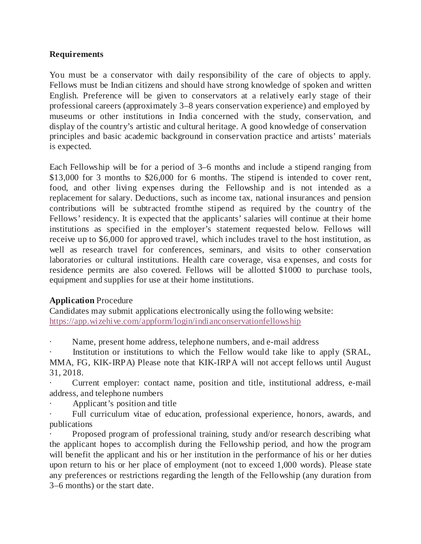## **Requirements**

You must be a conservator with daily responsibility of the care of objects to apply. Fellows must be Indian citizens and should have strong knowledge of spoken and written English. Preference will be given to conservators at a relatively early stage of their professional careers (approximately 3–8 years conservation experience) and employed by museums or other institutions in India concerned with the study, conservation, and display of the country's artistic and cultural heritage. A good knowledge of conservation principles and basic academic background in conservation practice and artists' materials is expected.

Each Fellowship will be for a period of 3–6 months and include a stipend ranging from \$13,000 for 3 months to \$26,000 for 6 months. The stipend is intended to cover rent, food, and other living expenses during the Fellowship and is not intended as a replacement for salary. Deductions, such as income tax, national insurances and pension contributions will be subtracted fromthe stipend as required by the country of the Fellows' residency. It is expected that the applicants' salaries will continue at their home institutions as specified in the employer's statement requested below. Fellows will receive up to \$6,000 for approved travel, which includes travel to the host institution, as well as research travel for conferences, seminars, and visits to other conservation laboratories or cultural institutions. Health care coverage, visa expenses, and costs for residence permits are also covered. Fellows will be allotted \$1000 to purchase tools, equipment and supplies for use at their home institutions.

## **Application** Procedure

Candidates may submit applications electronically using the following website: <https://app.wizehive.com/appform/login/indianconservationfellowship>

Name, present home address, telephone numbers, and e-mail address

Institution or institutions to which the Fellow would take like to apply (SRAL, MMA, FG, KIK-IRPA) Please note that KIK-IRPA will not accept fellows until August 31, 2018.

Current employer: contact name, position and title, institutional address, e-mail address, and telephone numbers

Applicant's position and title

Full curriculum vitae of education, professional experience, honors, awards, and publications

Proposed program of professional training, study and/or research describing what the applicant hopes to accomplish during the Fellowship period, and how the program will benefit the applicant and his or her institution in the performance of his or her duties upon return to his or her place of employment (not to exceed 1,000 words). Please state any preferences or restrictions regarding the length of the Fellowship (any duration from 3–6 months) or the start date.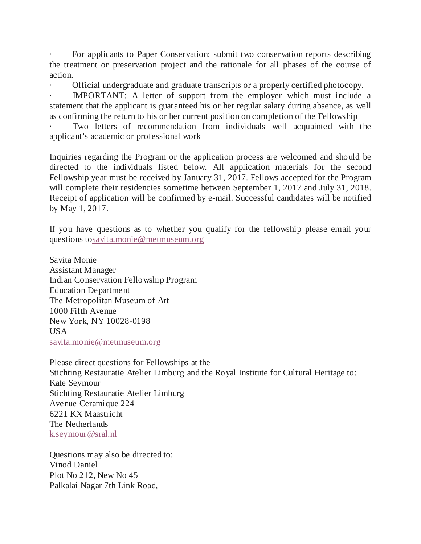For applicants to Paper Conservation: submit two conservation reports describing the treatment or preservation project and the rationale for all phases of the course of action.

· Official undergraduate and graduate transcripts or a properly certified photocopy.

IMPORTANT: A letter of support from the employer which must include a statement that the applicant is guaranteed his or her regular salary during absence, as well as confirming the return to his or her current position on completion of the Fellowship

Two letters of recommendation from individuals well acquainted with the applicant's academic or professional work

Inquiries regarding the Program or the application process are welcomed and should be directed to the individuals listed below. All application materials for the second Fellowship year must be received by January 31, 2017. Fellows accepted for the Program will complete their residencies sometime between September 1, 2017 and July 31, 2018. Receipt of application will be confirmed by e-mail. Successful candidates will be notified by May 1, 2017.

If you have questions as to whether you qualify for the fellowship please email your questions t[osavita.monie@metmuseum.org](http://savita.monie@metmuseum.org/)

Savita Monie Assistant Manager Indian Conservation Fellowship Program Education Department The Metropolitan Museum of Art 1000 Fifth Avenue New York, NY 10028-0198 USA [savita.monie@metmuseum.org](http://savita.monie@metmuseum.org/)

Please direct questions for Fellowships at the Stichting Restauratie Atelier Limburg and the Royal Institute for Cultural Heritage to: Kate Seymour Stichting Restauratie Atelier Limburg Avenue Ceramique 224 6221 KX Maastricht The Netherlands [k.seymour@sral.nl](http://k.seymour@sral.nl/)

Questions may also be directed to: Vinod Daniel Plot No 212, New No 45 Palkalai Nagar 7th Link Road,